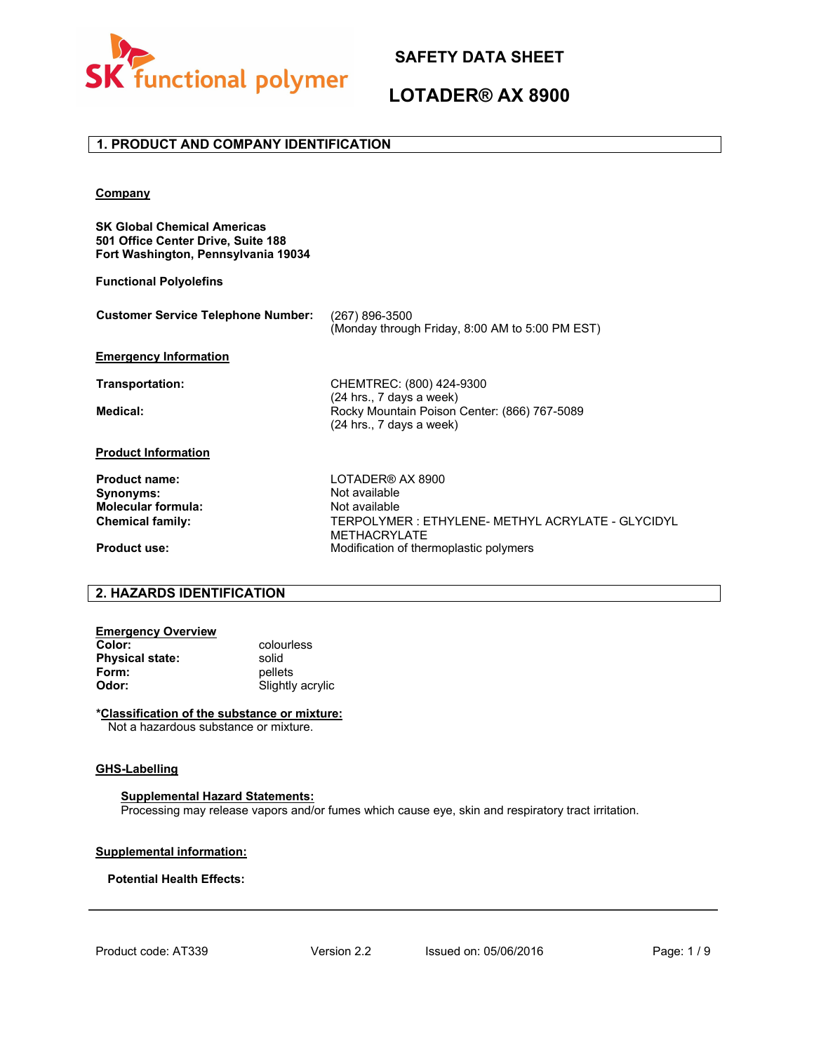

## **LOTADER® AX 8900**

### **1. PRODUCT AND COMPANY IDENTIFICATION**

#### **Company**

**SK Global Chemical Americas 501 Office Center Drive, Suite 188 Fort Washington, Pennsylvania 19034**

**Functional Polyolefins**

| Customer Service Telephone Number: (267) 896-3500 |                                                 |
|---------------------------------------------------|-------------------------------------------------|
|                                                   | (Monday through Friday, 8:00 AM to 5:00 PM EST) |

#### **Emergency Information**

**Transportation:** CHEMTREC: (800) 424-9300 (24 hrs., 7 days a week) **Medical:** Rocky Mountain Poison Center: (866) 767-5089 (24 hrs., 7 days a week)

### **Product Information**

**Product name:** LOTADER® AX 8900<br> **Synonyms:** Not available **Synonyms:** Not available Not available Not available Not available Not available Not available Not available Not available Not available Not available Not available Not available Not available Not available Not available **Molecular formula:**<br>Chemical family:

**Chemical family:** TERPOLYMER : ETHYLENE- METHYL ACRYLATE - GLYCIDYL METHACRYLATE **Product use:** Modification of thermoplastic polymers

## **2. HAZARDS IDENTIFICATION**

| <b>Emergency Overview</b> |                  |
|---------------------------|------------------|
| Color:                    | colourless       |
| <b>Physical state:</b>    | solid            |
| Form:                     | pellets          |
| Odor:                     | Slightly acrylic |

**\*Classification of the substance or mixture:**

Not a hazardous substance or mixture.

#### **GHS-Labelling**

#### **Supplemental Hazard Statements:**

Processing may release vapors and/or fumes which cause eye, skin and respiratory tract irritation.

#### **Supplemental information:**

#### **Potential Health Effects:**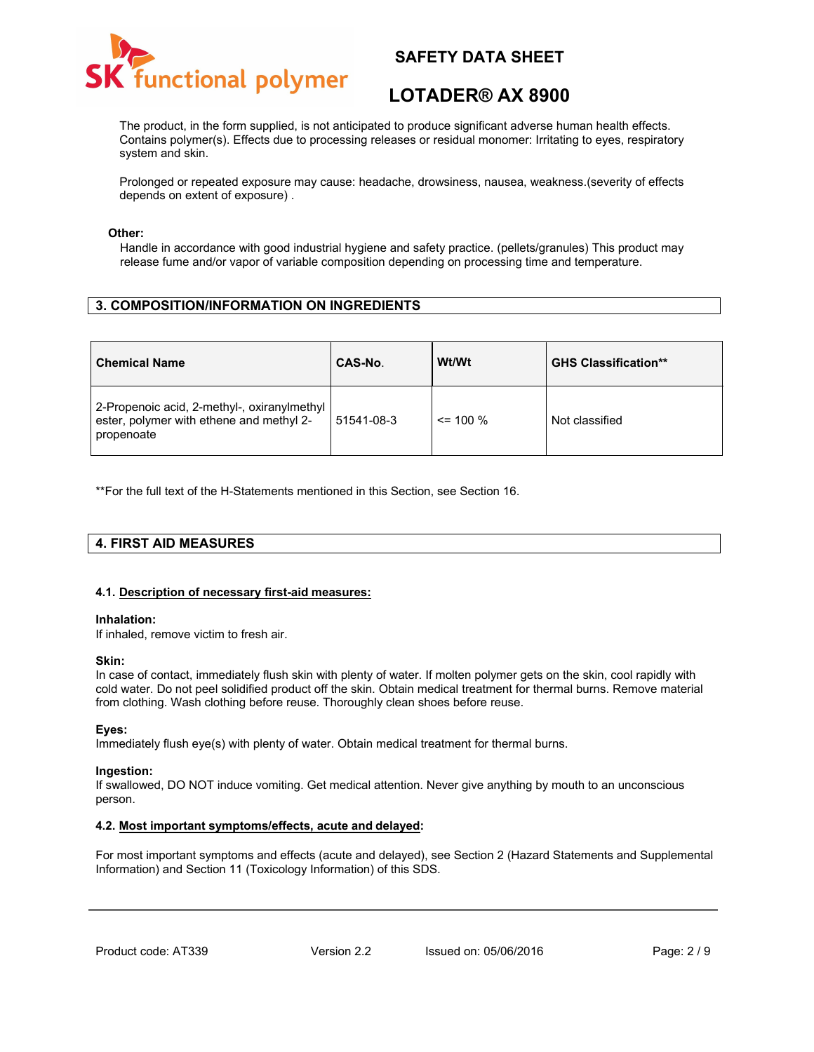

# **LOTADER® AX 8900**

The product, in the form supplied, is not anticipated to produce significant adverse human health effects. Contains polymer(s). Effects due to processing releases or residual monomer: Irritating to eyes, respiratory system and skin.

Prolonged or repeated exposure may cause: headache, drowsiness, nausea, weakness.(severity of effects depends on extent of exposure) .

#### **Other:**

Handle in accordance with good industrial hygiene and safety practice. (pellets/granules) This product may release fume and/or vapor of variable composition depending on processing time and temperature.

## **3. COMPOSITION/INFORMATION ON INGREDIENTS**

| <b>Chemical Name</b>                                                                                  | CAS-No.    | Wt/Wt        | <b>GHS Classification**</b> |
|-------------------------------------------------------------------------------------------------------|------------|--------------|-----------------------------|
| 2-Propenoic acid, 2-methyl-, oxiranylmethyl<br>ester, polymer with ethene and methyl 2-<br>propenoate | 51541-08-3 | $\leq$ 100 % | Not classified              |

\*\*For the full text of the H-Statements mentioned in this Section, see Section 16.

## **4. FIRST AID MEASURES**

#### **4.1. Description of necessary first-aid measures:**

#### **Inhalation:**

If inhaled, remove victim to fresh air.

#### **Skin:**

In case of contact, immediately flush skin with plenty of water. If molten polymer gets on the skin, cool rapidly with cold water. Do not peel solidified product off the skin. Obtain medical treatment for thermal burns. Remove material from clothing. Wash clothing before reuse. Thoroughly clean shoes before reuse.

#### **Eyes:**

Immediately flush eye(s) with plenty of water. Obtain medical treatment for thermal burns.

#### **Ingestion:**

If swallowed, DO NOT induce vomiting. Get medical attention. Never give anything by mouth to an unconscious person.

#### **4.2. Most important symptoms/effects, acute and delayed:**

For most important symptoms and effects (acute and delayed), see Section 2 (Hazard Statements and Supplemental Information) and Section 11 (Toxicology Information) of this SDS.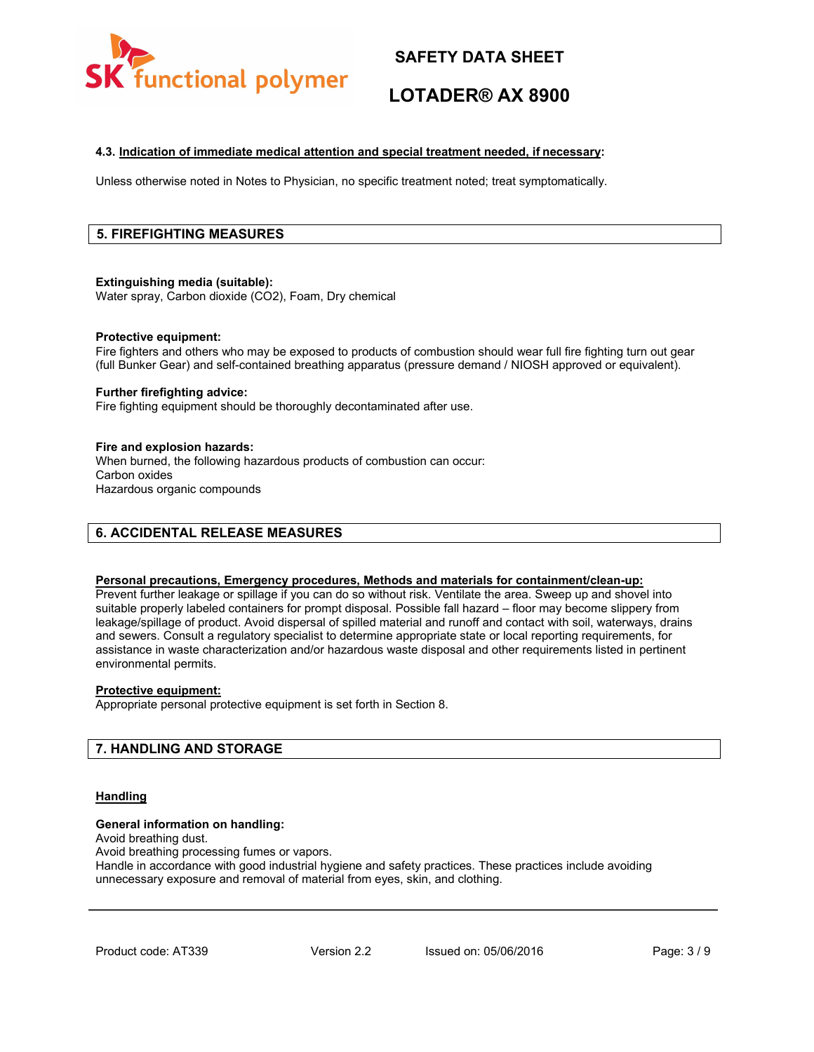

# **LOTADER® AX 8900**

### **4.3. Indication of immediate medical attention and special treatment needed, if necessary:**

Unless otherwise noted in Notes to Physician, no specific treatment noted; treat symptomatically.

## **5. FIREFIGHTING MEASURES**

#### **Extinguishing media (suitable):**

Water spray, Carbon dioxide (CO2), Foam, Dry chemical

#### **Protective equipment:**

Fire fighters and others who may be exposed to products of combustion should wear full fire fighting turn out gear (full Bunker Gear) and self-contained breathing apparatus (pressure demand / NIOSH approved or equivalent).

#### **Further firefighting advice:**

Fire fighting equipment should be thoroughly decontaminated after use.

#### **Fire and explosion hazards:**

When burned, the following hazardous products of combustion can occur: Carbon oxides Hazardous organic compounds

## **6. ACCIDENTAL RELEASE MEASURES**

### **Personal precautions, Emergency procedures, Methods and materials for containment/clean-up:**

Prevent further leakage or spillage if you can do so without risk. Ventilate the area. Sweep up and shovel into suitable properly labeled containers for prompt disposal. Possible fall hazard – floor may become slippery from leakage/spillage of product. Avoid dispersal of spilled material and runoff and contact with soil, waterways, drains and sewers. Consult a regulatory specialist to determine appropriate state or local reporting requirements, for assistance in waste characterization and/or hazardous waste disposal and other requirements listed in pertinent environmental permits.

#### **Protective equipment:**

Appropriate personal protective equipment is set forth in Section 8.

## **7. HANDLING AND STORAGE**

#### **Handling**

#### **General information on handling:**

Avoid breathing dust.

Avoid breathing processing fumes or vapors.

Handle in accordance with good industrial hygiene and safety practices. These practices include avoiding unnecessary exposure and removal of material from eyes, skin, and clothing.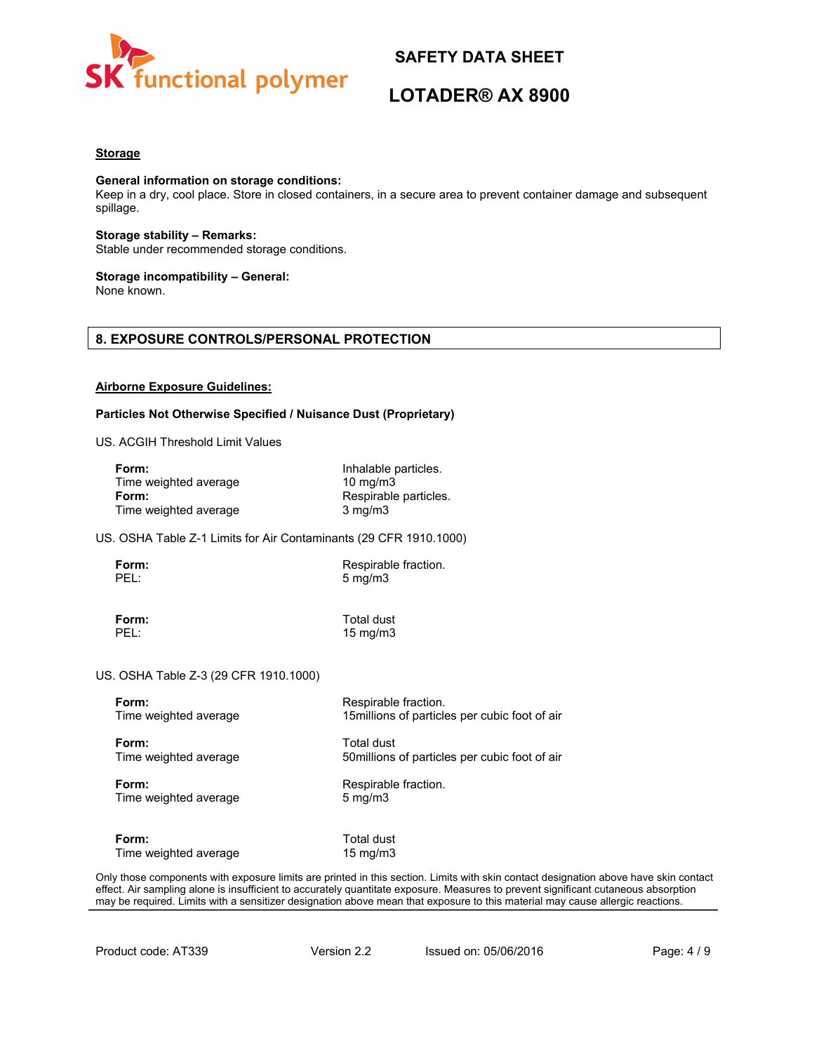

# **LOTADER® AX 8900**

#### **Storage**

#### **General information on storage conditions:**

Keep in a dry, cool place. Store in closed containers, in a secure area to prevent container damage and subsequent spillage.

**Storage stability – Remarks:** Stable under recommended storage conditions.

#### **Storage incompatibility – General:**

None known.

## **8. EXPOSURE CONTROLS/PERSONAL PROTECTION**

#### **Airborne Exposure Guidelines:**

#### **Particles Not Otherwise Specified / Nuisance Dust (Proprietary)**

US. ACGIH Threshold Limit Values

| Form:                 | Inhalable particles.  |
|-----------------------|-----------------------|
| Time weighted average | $10 \text{ ma/m}$ 3   |
| Form:                 | Respirable particles. |
| Time weighted average | $3 \text{ mg/m}$      |

US. OSHA Table Z-1 Limits for Air Contaminants (29 CFR 1910.1000)

**Form:** Respirable fraction.<br> **PEL:** 5 ma/m3  $5$  mg/m $3$ 

**Form:** Total dust<br>PEL: 15 ma/m3 15 mg/m3

#### US. OSHA Table Z-3 (29 CFR 1910.1000)

**Form:**<br>
Time weighted average **Respirable fraction.**<br>
15 millions of particle

**Form:** Total dust Time weighted average 50millions of particles per cubic foot of air

**Form:** Respirable fraction. Time weighted average 5 mg/m3

15millions of particles per cubic foot of air

**Form:** Total dust<br>Time weighted average Time weighted average and the state of the major of the Time weight of the Time of the Time Time of the Time of the Time of the Time of the Time of the Time of the Time of the Time Time weighted average

Only those components with exposure limits are printed in this section. Limits with skin contact designation above have skin contact effect. Air sampling alone is insufficient to accurately quantitate exposure. Measures to prevent significant cutaneous absorption may be required. Limits with a sensitizer designation above mean that exposure to this material may cause allergic reactions.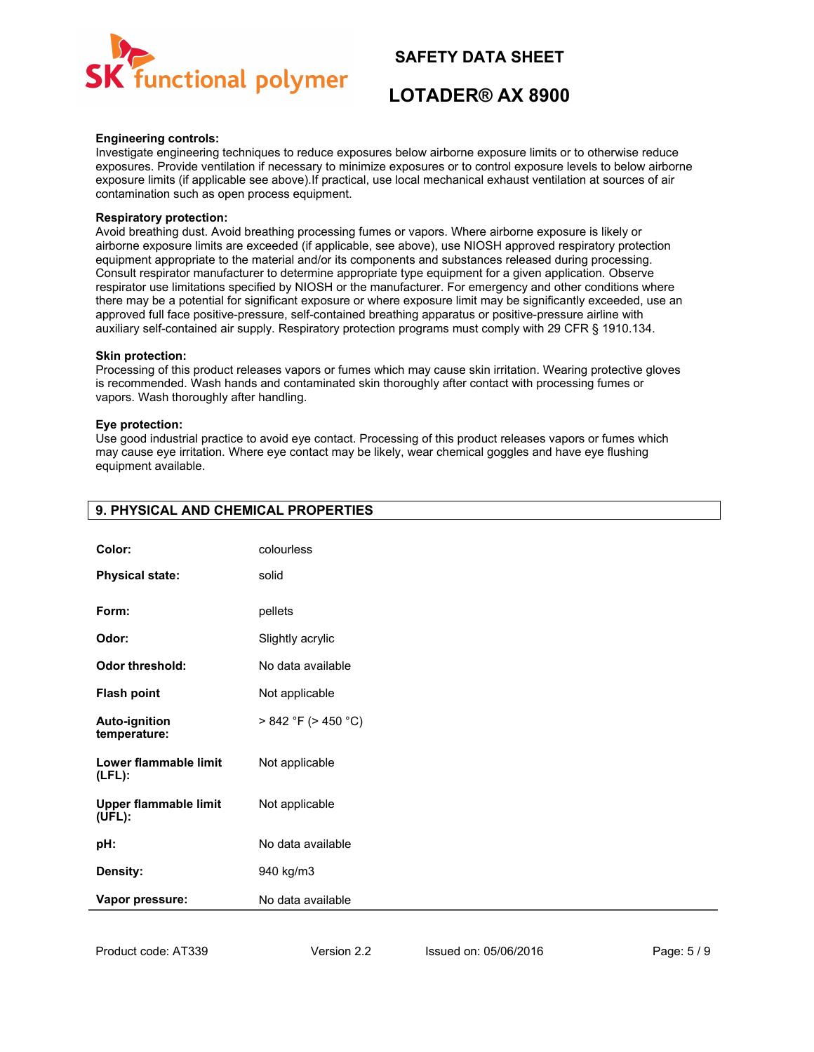

# **LOTADER® AX 8900**

#### **Engineering controls:**

Investigate engineering techniques to reduce exposures below airborne exposure limits or to otherwise reduce exposures. Provide ventilation if necessary to minimize exposures or to control exposure levels to below airborne exposure limits (if applicable see above).If practical, use local mechanical exhaust ventilation at sources of air contamination such as open process equipment.

#### **Respiratory protection:**

Avoid breathing dust. Avoid breathing processing fumes or vapors. Where airborne exposure is likely or airborne exposure limits are exceeded (if applicable, see above), use NIOSH approved respiratory protection equipment appropriate to the material and/or its components and substances released during processing. Consult respirator manufacturer to determine appropriate type equipment for a given application. Observe respirator use limitations specified by NIOSH or the manufacturer. For emergency and other conditions where there may be a potential for significant exposure or where exposure limit may be significantly exceeded, use an approved full face positive-pressure, self-contained breathing apparatus or positive-pressure airline with auxiliary self-contained air supply. Respiratory protection programs must comply with 29 CFR § 1910.134.

#### **Skin protection:**

Processing of this product releases vapors or fumes which may cause skin irritation. Wearing protective gloves is recommended. Wash hands and contaminated skin thoroughly after contact with processing fumes or vapors. Wash thoroughly after handling.

#### **Eye protection:**

Use good industrial practice to avoid eye contact. Processing of this product releases vapors or fumes which may cause eye irritation. Where eye contact may be likely, wear chemical goggles and have eye flushing equipment available.

| Color:                                 | colourless                |
|----------------------------------------|---------------------------|
| <b>Physical state:</b>                 | solid                     |
| Form:                                  | pellets                   |
| Odor:                                  | Slightly acrylic          |
| <b>Odor threshold:</b>                 | No data available         |
| <b>Flash point</b>                     | Not applicable            |
| <b>Auto-ignition</b><br>temperature:   | $> 842 °F$ ( $> 450 °C$ ) |
| Lower flammable limit<br>$(LFL)$ :     | Not applicable            |
| <b>Upper flammable limit</b><br>(UFL): | Not applicable            |
| pH:                                    | No data available         |
| Density:                               | 940 kg/m3                 |
| Vapor pressure:                        | No data available         |

## **9. PHYSICAL AND CHEMICAL PROPERTIES**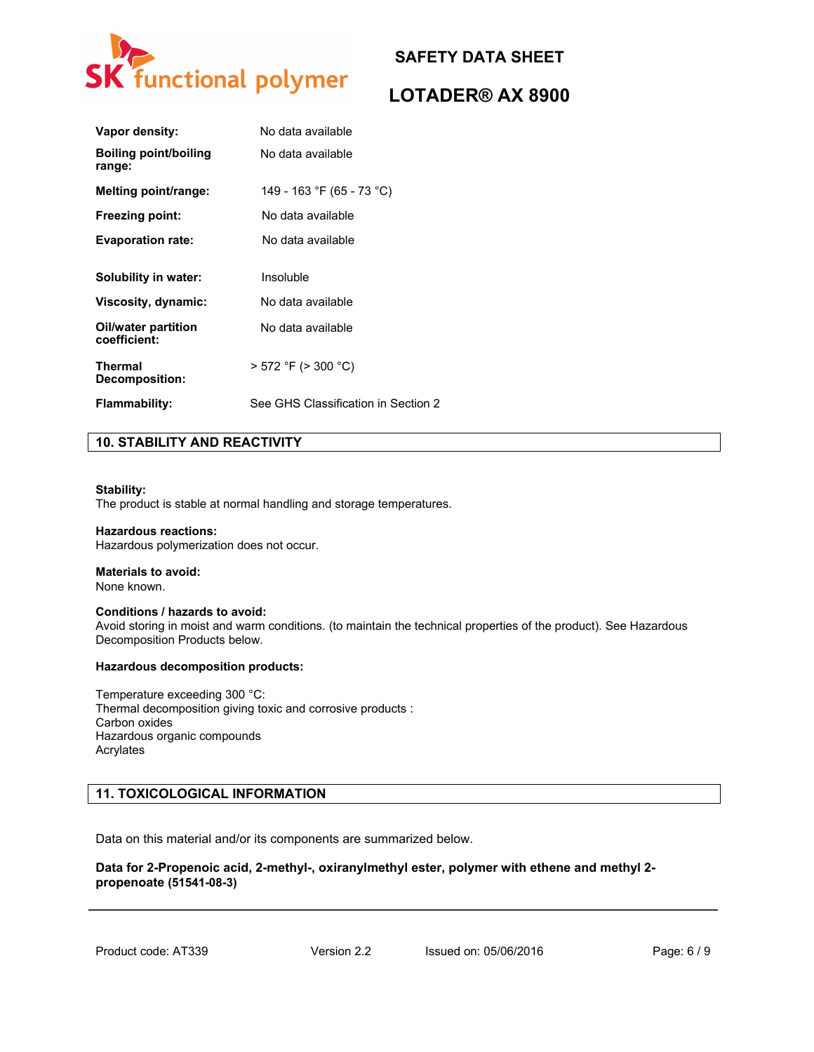

# **LOTADER® AX 8900**

| Vapor density:                         | No data available                   |
|----------------------------------------|-------------------------------------|
| <b>Boiling point/boiling</b><br>range: | No data available                   |
| Melting point/range:                   | 149 - 163 °F (65 - 73 °C)           |
| <b>Freezing point:</b>                 | No data available                   |
| <b>Evaporation rate:</b>               | No data available                   |
|                                        |                                     |
| Solubility in water:                   | Insoluble                           |
| Viscosity, dynamic:                    | No data available                   |
| Oil/water partition<br>coefficient:    | No data available                   |
| <b>Thermal</b><br>Decomposition:       | $>$ 572 °F ( $>$ 300 °C)            |
| Flammability:                          | See GHS Classification in Section 2 |

## **10. STABILITY AND REACTIVITY**

#### **Stability:**

The product is stable at normal handling and storage temperatures.

#### **Hazardous reactions:**

Hazardous polymerization does not occur.

## **Materials to avoid:**

None known.

#### **Conditions / hazards to avoid:**

Avoid storing in moist and warm conditions. (to maintain the technical properties of the product). See Hazardous Decomposition Products below.

#### **Hazardous decomposition products:**

Temperature exceeding 300 °C: Thermal decomposition giving toxic and corrosive products : Carbon oxides Hazardous organic compounds Acrylates

## **11. TOXICOLOGICAL INFORMATION**

Data on this material and/or its components are summarized below.

### **Data for 2-Propenoic acid, 2-methyl-, oxiranylmethyl ester, polymer with ethene and methyl 2 propenoate (51541-08-3)**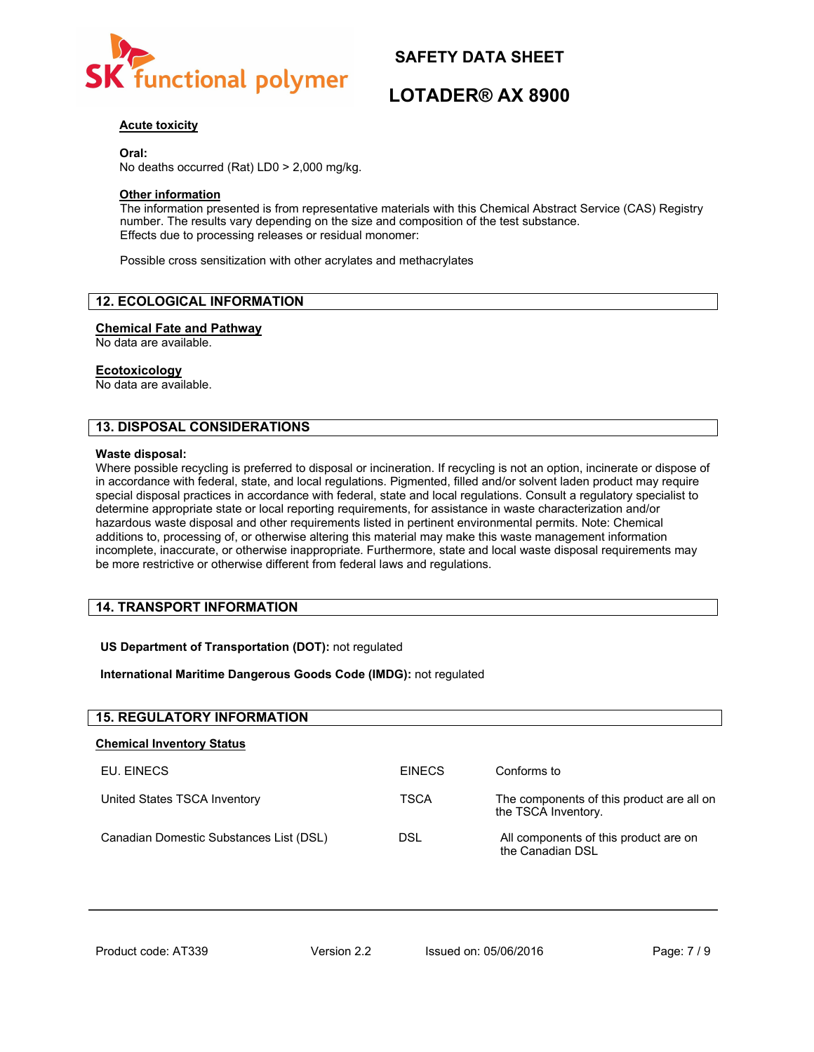

# **LOTADER® AX 8900**

## **Acute toxicity**

**Oral:**

No deaths occurred (Rat) LD0 > 2,000 mg/kg.

### **Other information**

The information presented is from representative materials with this Chemical Abstract Service (CAS) Registry number. The results vary depending on the size and composition of the test substance. Effects due to processing releases or residual monomer:

Possible cross sensitization with other acrylates and methacrylates

## **12. ECOLOGICAL INFORMATION**

#### **Chemical Fate and Pathway**

No data are available.

#### **Ecotoxicology**

No data are available.

## **13. DISPOSAL CONSIDERATIONS**

#### **Waste disposal:**

Where possible recycling is preferred to disposal or incineration. If recycling is not an option, incinerate or dispose of in accordance with federal, state, and local regulations. Pigmented, filled and/or solvent laden product may require special disposal practices in accordance with federal, state and local regulations. Consult a regulatory specialist to determine appropriate state or local reporting requirements, for assistance in waste characterization and/or hazardous waste disposal and other requirements listed in pertinent environmental permits. Note: Chemical additions to, processing of, or otherwise altering this material may make this waste management information incomplete, inaccurate, or otherwise inappropriate. Furthermore, state and local waste disposal requirements may be more restrictive or otherwise different from federal laws and regulations.

## **14. TRANSPORT INFORMATION**

#### **US Department of Transportation (DOT):** not regulated

#### **International Maritime Dangerous Goods Code (IMDG):** not regulated

| <b>15. REGULATORY INFORMATION</b>       |               |                                                                  |
|-----------------------------------------|---------------|------------------------------------------------------------------|
| <b>Chemical Inventory Status</b>        |               |                                                                  |
| EU. EINECS                              | <b>EINECS</b> | Conforms to                                                      |
| United States TSCA Inventory            | <b>TSCA</b>   | The components of this product are all on<br>the TSCA Inventory. |
| Canadian Domestic Substances List (DSL) | DSL           | All components of this product are on<br>the Canadian DSL        |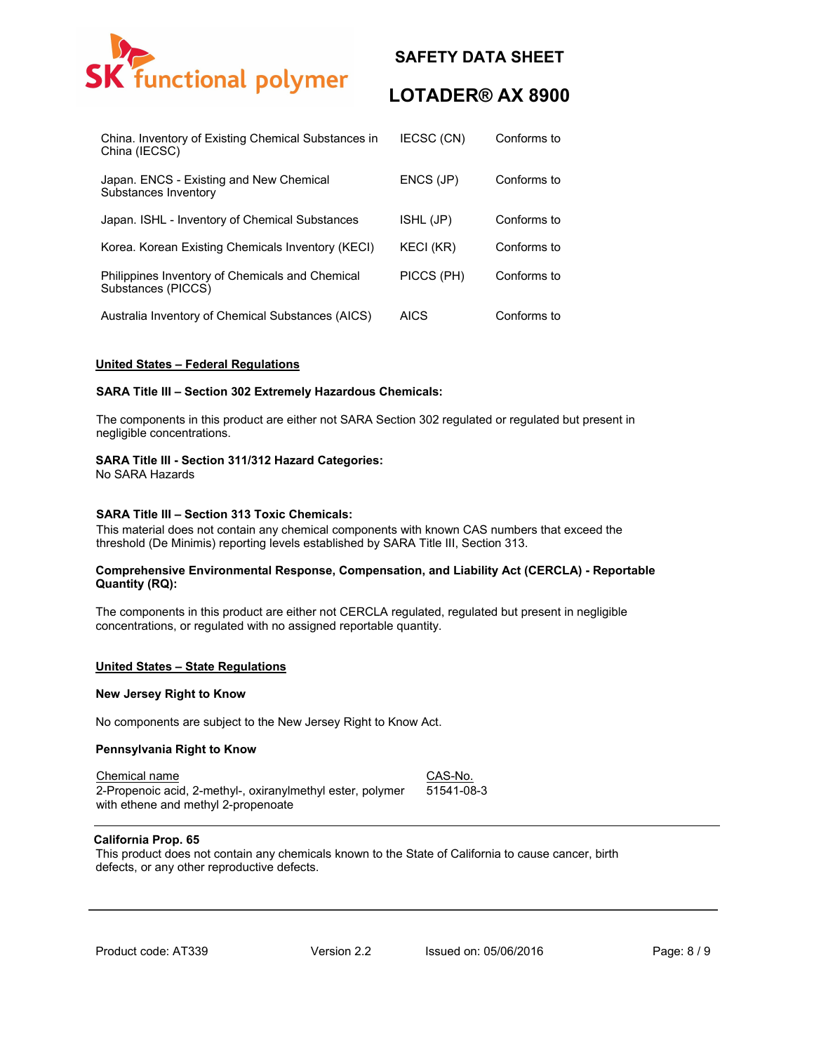

# **LOTADER® AX 8900**

| China. Inventory of Existing Chemical Substances in<br>China (IECSC)  | IECSC (CN)  | Conforms to |
|-----------------------------------------------------------------------|-------------|-------------|
| Japan. ENCS - Existing and New Chemical<br>Substances Inventory       | ENCS (JP)   | Conforms to |
| Japan. ISHL - Inventory of Chemical Substances                        | ISHL (JP)   | Conforms to |
| Korea. Korean Existing Chemicals Inventory (KECI)                     | KECI (KR)   | Conforms to |
| Philippines Inventory of Chemicals and Chemical<br>Substances (PICCS) | PICCS (PH)  | Conforms to |
| Australia Inventory of Chemical Substances (AICS)                     | <b>AICS</b> | Conforms to |

#### **United States – Federal Regulations**

#### **SARA Title III – Section 302 Extremely Hazardous Chemicals:**

The components in this product are either not SARA Section 302 regulated or regulated but present in negligible concentrations.

#### **SARA Title III - Section 311/312 Hazard Categories:**

No SARA Hazards

#### **SARA Title III – Section 313 Toxic Chemicals:**

This material does not contain any chemical components with known CAS numbers that exceed the threshold (De Minimis) reporting levels established by SARA Title III, Section 313.

#### **Comprehensive Environmental Response, Compensation, and Liability Act (CERCLA) - Reportable Quantity (RQ):**

The components in this product are either not CERCLA regulated, regulated but present in negligible concentrations, or regulated with no assigned reportable quantity.

#### **United States – State Regulations**

#### **New Jersey Right to Know**

No components are subject to the New Jersey Right to Know Act.

#### **Pennsylvania Right to Know**

Chemical name CAS-No. 2-Propenoic acid, 2-methyl-, oxiranylmethyl ester, polymer with ethene and methyl 2-propenoate 51541-08-3

#### **California Prop. 65**

This product does not contain any chemicals known to the State of California to cause cancer, birth defects, or any other reproductive defects.